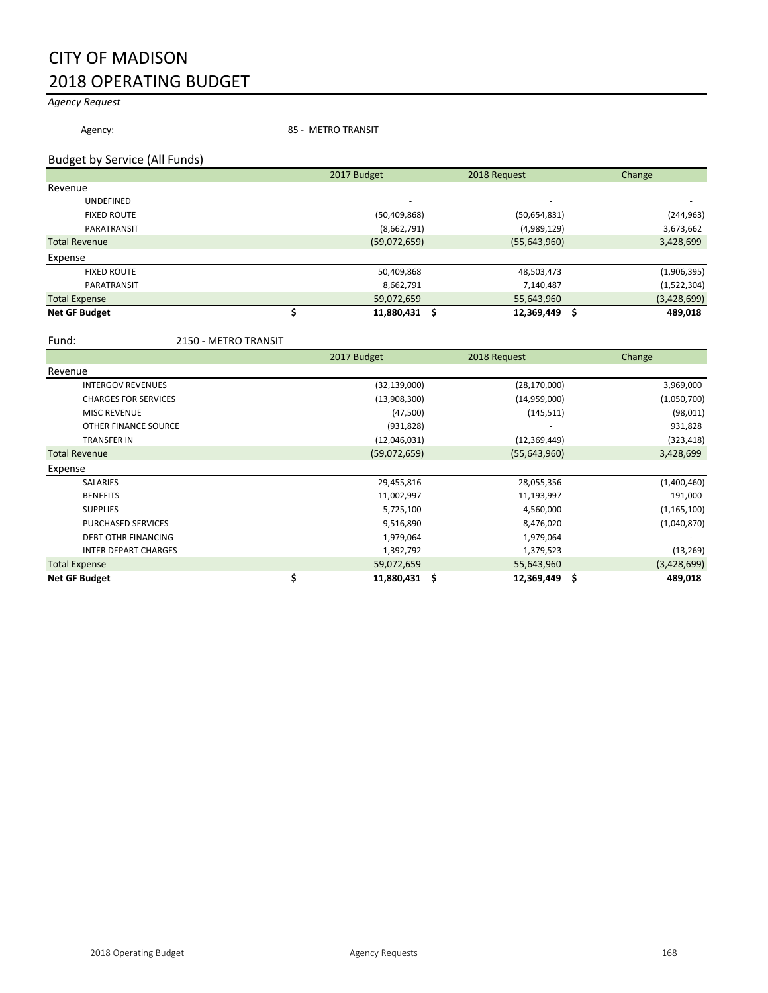## CITY OF MADISON 2018 OPERATING BUDGET

### *Agency Request*

Agency: 35 - METRO TRANSIT

#### Budget by Service (All Funds)

|                      | 2017 Budget    | 2018 Request             | Change      |
|----------------------|----------------|--------------------------|-------------|
| Revenue              |                |                          |             |
| <b>UNDEFINED</b>     |                | $\overline{\phantom{a}}$ |             |
| <b>FIXED ROUTE</b>   | (50, 409, 868) | (50,654,831)             | (244, 963)  |
| PARATRANSIT          | (8,662,791)    | (4,989,129)              | 3,673,662   |
| <b>Total Revenue</b> | (59,072,659)   | (55, 643, 960)           | 3,428,699   |
| Expense              |                |                          |             |
| <b>FIXED ROUTE</b>   | 50,409,868     | 48,503,473               | (1,906,395) |
| PARATRANSIT          | 8,662,791      | 7,140,487                | (1,522,304) |
| <b>Total Expense</b> | 59,072,659     | 55,643,960               | (3,428,699) |
| <b>Net GF Budget</b> | 11,880,431     | 12,369,449               | 489,018     |

Fund: 2150 - METRO TRANSIT

|                             | 2017 Budget         | 2018 Request   | Change        |
|-----------------------------|---------------------|----------------|---------------|
| Revenue                     |                     |                |               |
| <b>INTERGOV REVENUES</b>    | (32, 139, 000)      | (28, 170, 000) | 3,969,000     |
| <b>CHARGES FOR SERVICES</b> | (13,908,300)        | (14,959,000)   | (1,050,700)   |
| <b>MISC REVENUE</b>         | (47,500)            | (145, 511)     | (98, 011)     |
| OTHER FINANCE SOURCE        | (931, 828)          |                | 931,828       |
| <b>TRANSFER IN</b>          | (12,046,031)        | (12, 369, 449) | (323, 418)    |
| <b>Total Revenue</b>        | (59,072,659)        | (55, 643, 960) | 3,428,699     |
| Expense                     |                     |                |               |
| SALARIES                    | 29,455,816          | 28,055,356     | (1,400,460)   |
| <b>BENEFITS</b>             | 11,002,997          | 11,193,997     | 191,000       |
| <b>SUPPLIES</b>             | 5,725,100           | 4,560,000      | (1, 165, 100) |
| <b>PURCHASED SERVICES</b>   | 9,516,890           | 8,476,020      | (1,040,870)   |
| <b>DEBT OTHR FINANCING</b>  | 1,979,064           | 1,979,064      |               |
| <b>INTER DEPART CHARGES</b> | 1,392,792           | 1,379,523      | (13, 269)     |
| <b>Total Expense</b>        | 59,072,659          | 55,643,960     | (3,428,699)   |
| <b>Net GF Budget</b>        | \$<br>11,880,431 \$ | 12,369,449 \$  | 489,018       |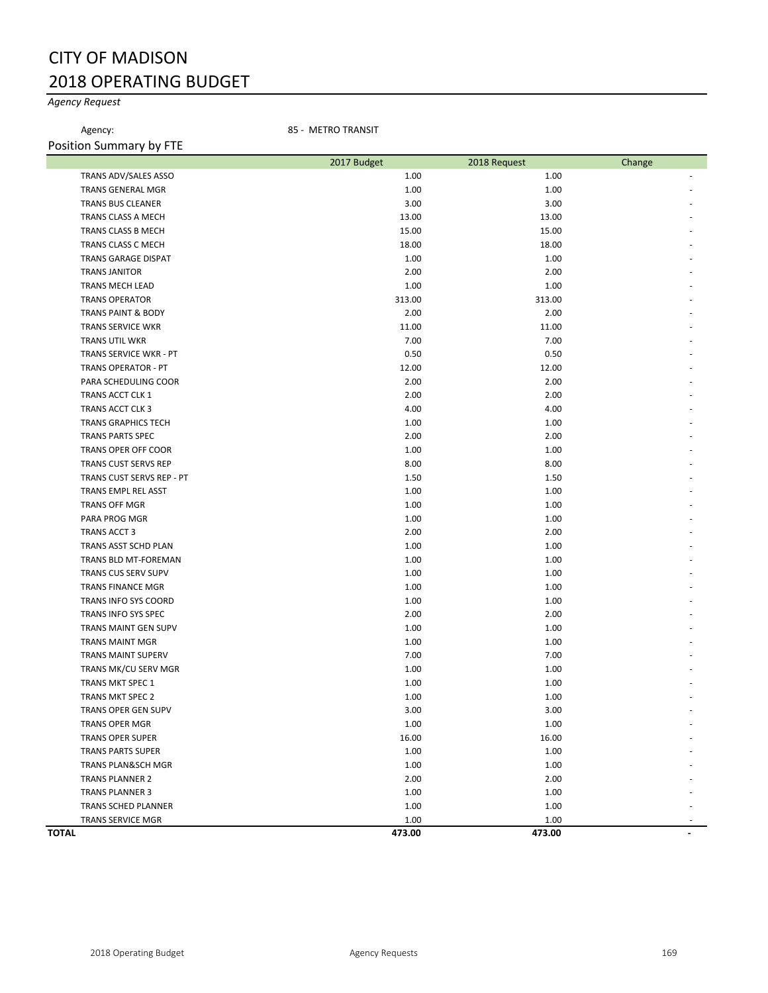## CITY OF MADISON 2018 OPERATING BUDGET

### *Agency Request*

Agency: 35 - METRO TRANSIT Position Summary by FTE

| <b>OSILIOII JUITIIIIUI y DYTTLE</b> | 2017 Budget | 2018 Request | Change |
|-------------------------------------|-------------|--------------|--------|
| TRANS ADV/SALES ASSO                | 1.00        | 1.00         |        |
| TRANS GENERAL MGR                   | 1.00        | 1.00         |        |
| <b>TRANS BUS CLEANER</b>            | 3.00        | 3.00         |        |
| TRANS CLASS A MECH                  | 13.00       | 13.00        |        |
| TRANS CLASS B MECH                  | 15.00       | 15.00        |        |
| TRANS CLASS C MECH                  | 18.00       | 18.00        |        |
| TRANS GARAGE DISPAT                 | 1.00        | 1.00         |        |
| <b>TRANS JANITOR</b>                | 2.00        | 2.00         |        |
| TRANS MECH LEAD                     | 1.00        | 1.00         |        |
| <b>TRANS OPERATOR</b>               | 313.00      | 313.00       |        |
| TRANS PAINT & BODY                  | 2.00        | 2.00         |        |
| TRANS SERVICE WKR                   | 11.00       | 11.00        |        |
| TRANS UTIL WKR                      | 7.00        | 7.00         |        |
| TRANS SERVICE WKR - PT              | 0.50        | 0.50         |        |
| <b>TRANS OPERATOR - PT</b>          | 12.00       | 12.00        |        |
| PARA SCHEDULING COOR                | 2.00        | 2.00         |        |
| TRANS ACCT CLK 1                    | 2.00        | 2.00         |        |
| TRANS ACCT CLK 3                    | 4.00        | 4.00         |        |
| <b>TRANS GRAPHICS TECH</b>          | 1.00        | 1.00         |        |
| <b>TRANS PARTS SPEC</b>             | 2.00        | 2.00         |        |
| TRANS OPER OFF COOR                 | 1.00        | 1.00         |        |
| <b>TRANS CUST SERVS REP</b>         | 8.00        | 8.00         |        |
| TRANS CUST SERVS REP - PT           | 1.50        | 1.50         |        |
| <b>TRANS EMPL REL ASST</b>          | 1.00        | 1.00         |        |
| <b>TRANS OFF MGR</b>                | 1.00        | 1.00         |        |
| PARA PROG MGR                       | 1.00        | 1.00         |        |
| TRANS ACCT 3                        | 2.00        | 2.00         |        |
| TRANS ASST SCHD PLAN                | 1.00        | 1.00         |        |
| TRANS BLD MT-FOREMAN                | 1.00        | 1.00         |        |
| TRANS CUS SERV SUPV                 | 1.00        | 1.00         |        |
| TRANS FINANCE MGR                   | 1.00        | 1.00         |        |
| TRANS INFO SYS COORD                | 1.00        | 1.00         |        |
| TRANS INFO SYS SPEC                 | 2.00        | 2.00         |        |
| TRANS MAINT GEN SUPV                | 1.00        | 1.00         |        |
| <b>TRANS MAINT MGR</b>              | 1.00        | 1.00         |        |
| TRANS MAINT SUPERV                  | 7.00        | 7.00         |        |
| TRANS MK/CU SERV MGR                | 1.00        | 1.00         |        |
| TRANS MKT SPEC 1                    | 1.00        | 1.00         |        |
| <b>TRANS MKT SPEC 2</b>             | 1.00        | 1.00         |        |
| TRANS OPER GEN SUPV                 | 3.00        | 3.00         |        |
| <b>TRANS OPER MGR</b>               | 1.00        | 1.00         |        |
| <b>TRANS OPER SUPER</b>             | 16.00       | 16.00        |        |
| <b>TRANS PARTS SUPER</b>            | 1.00        | 1.00         |        |
| <b>TRANS PLAN&amp;SCH MGR</b>       | 1.00        | 1.00         |        |
| <b>TRANS PLANNER 2</b>              | 2.00        | 2.00         |        |
| <b>TRANS PLANNER 3</b>              | 1.00        | 1.00         |        |
| TRANS SCHED PLANNER                 | 1.00        | 1.00         |        |
| TRANS SERVICE MGR                   | 1.00        | 1.00         |        |
| <b>TOTAL</b>                        | 473.00      | 473.00       |        |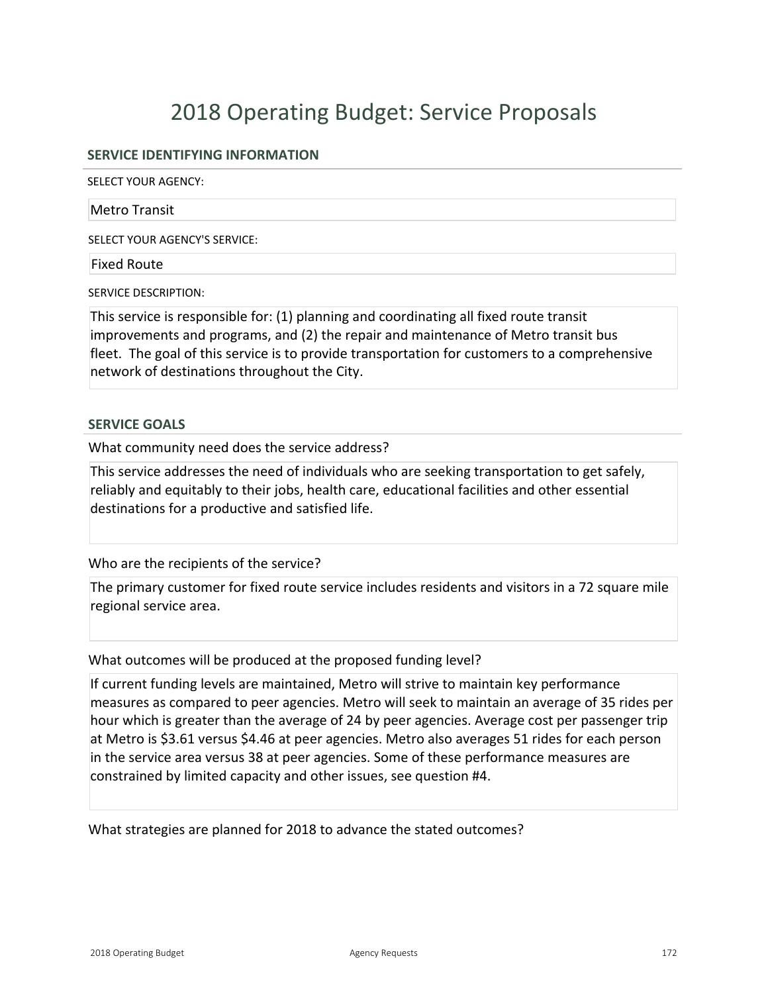# 2018 Operating Budget: Service Proposals

#### **SERVICE IDENTIFYING INFORMATION**

SELECT YOUR AGENCY:

#### Metro Transit

SELECT YOUR AGENCY'S SERVICE:

#### Fixed Route

SERVICE DESCRIPTION:

This service is responsible for: (1) planning and coordinating all fixed route transit improvements and programs, and (2) the repair and maintenance of Metro transit bus fleet. The goal of this service is to provide transportation for customers to a comprehensive network of destinations throughout the City.

#### **SERVICE GOALS**

What community need does the service address?

This service addresses the need of individuals who are seeking transportation to get safely, reliably and equitably to their jobs, health care, educational facilities and other essential destinations for a productive and satisfied life.

Who are the recipients of the service?

The primary customer for fixed route service includes residents and visitors in a 72 square mile regional service area.

What outcomes will be produced at the proposed funding level?

If current funding levels are maintained, Metro will strive to maintain key performance measures as compared to peer agencies. Metro will seek to maintain an average of 35 rides per hour which is greater than the average of 24 by peer agencies. Average cost per passenger trip at Metro is \$3.61 versus \$4.46 at peer agencies. Metro also averages 51 rides for each person in the service area versus 38 at peer agencies. Some of these performance measures are constrained by limited capacity and other issues, see question #4.

What strategies are planned for 2018 to advance the stated outcomes?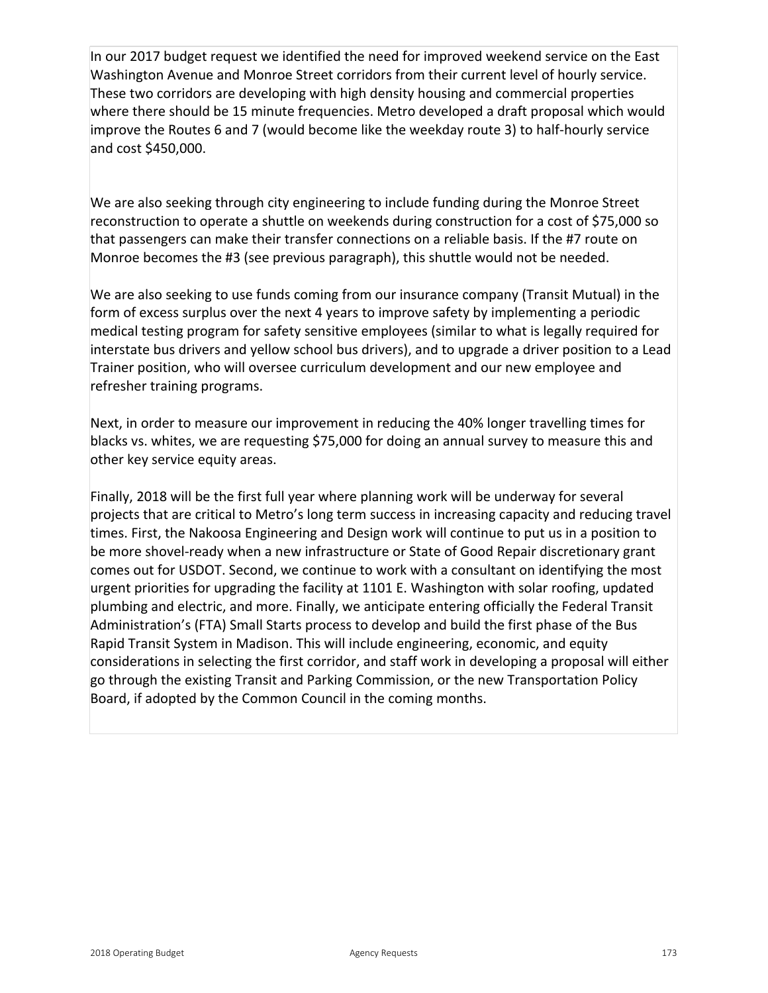In our 2017 budget request we identified the need for improved weekend service on the East Washington Avenue and Monroe Street corridors from their current level of hourly service. These two corridors are developing with high density housing and commercial properties where there should be 15 minute frequencies. Metro developed a draft proposal which would improve the Routes 6 and 7 (would become like the weekday route 3) to half-hourly service and cost \$450,000.

We are also seeking through city engineering to include funding during the Monroe Street reconstruction to operate a shuttle on weekends during construction for a cost of \$75,000 so that passengers can make their transfer connections on a reliable basis. If the #7 route on Monroe becomes the #3 (see previous paragraph), this shuttle would not be needed.

We are also seeking to use funds coming from our insurance company (Transit Mutual) in the form of excess surplus over the next 4 years to improve safety by implementing a periodic medical testing program for safety sensitive employees (similar to what is legally required for interstate bus drivers and yellow school bus drivers), and to upgrade a driver position to a Lead Trainer position, who will oversee curriculum development and our new employee and refresher training programs.

Next, in order to measure our improvement in reducing the 40% longer travelling times for blacks vs. whites, we are requesting \$75,000 for doing an annual survey to measure this and other key service equity areas.

Finally, 2018 will be the first full year where planning work will be underway for several projects that are critical to Metro's long term success in increasing capacity and reducing travel times. First, the Nakoosa Engineering and Design work will continue to put us in a position to be more shovel-ready when a new infrastructure or State of Good Repair discretionary grant comes out for USDOT. Second, we continue to work with a consultant on identifying the most urgent priorities for upgrading the facility at 1101 E. Washington with solar roofing, updated plumbing and electric, and more. Finally, we anticipate entering officially the Federal Transit Administration's (FTA) Small Starts process to develop and build the first phase of the Bus Rapid Transit System in Madison. This will include engineering, economic, and equity considerations in selecting the first corridor, and staff work in developing a proposal will either go through the existing Transit and Parking Commission, or the new Transportation Policy Board, if adopted by the Common Council in the coming months.